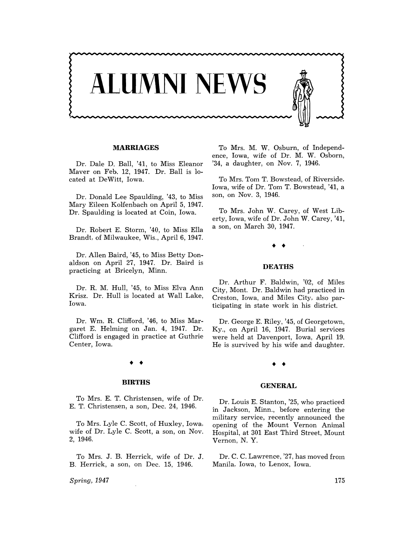

#### **MARRIAGES**

Dr. Dale D. Ball, '41, to Miss Eleanor Maver on Feb. 12, 1947. Dr. Ball is located at DeWitt, Iowa.

Dr. Donald Lee Spaulding, '43, to Miss Mary Eileen Kolfenbach on April 5, 1947. Dr. Spaulding is located at Coin, Iowa.

Dr. Robert E. Storm, '40, to Miss Ella Brandt, of Milwaukee, Wis., April 6, 1947.

Dr. Allen Baird, '45, to Miss Betty Donaldson on April 27, 1947. Dr. Baird is practicing at Bricelyn, Minn.

Dr. R. M. Hull, '45, to Miss Elva Ann Krisz. Dr. Hull is located at Wall Lake, Iowa.

Dr. Wm. R. Clifford, '46, to Miss Margaret E. Helming on Jan. 4, 1947. Dr. Clifford is engaged in practice at Guthrie Center, Iowa.

# • •

### **BIRTHS**

To Mrs. E. T. Christensen, wife of Dr. E. T. Christensen, a son, Dec. 24, 1946.

To Mrs. Lyle C. Scott, of Huxley, Iowa, wife of Dr. Lyle C. Scott, a son, on Nov. 2, 1946.

To Mrs. J. B. Herrick, wife of Dr. J. B. Herrick, a son, on Dec. 15, 1946.

*Spring, 1947* 

To Mrs. M. W. Osburn, of Independence, Iowa, wife of Dr. M. W. Osborn, '34, a daughter, on Nov. 7, 1946.

To Mrs. Tom T. Bowstead, of Riverside, Iowa, wife of Dr. Tom T. Bowstead, '41, a son, on Nov. 3, 1946.

To Mrs. John W. Carey, of West Liberty, Iowa, wife of Dr. John W. Carey, '41, a son, on March 30, 1947.

• •

#### **DEATHS**

Dr. Arthur F. Baldwin. '02, of Miles City, Mont. Dr. Baldwin had practiced in Creston, Iowa, and Miles City, also participating in state work in his district.

Dr. George E. Riley, '45, of Georgetown, Ky., on April 16, 1947. Burial services were held at Davenport, Iowa, April 19. He is survived by his wife and daughter.

## • •

#### **GENERAL**

Dr. Louis E. Stanton, '25, who practiced in Jackson, Minn., before entering the military service, recently announced the opening of the Mount Vernon Animal Hospital, at 301 East Third Street, Mount Vernon, N. Y.

Dr. C. C. Lawrence, '27, has moved from Manila, Iowa, to Lenox, Iowa.